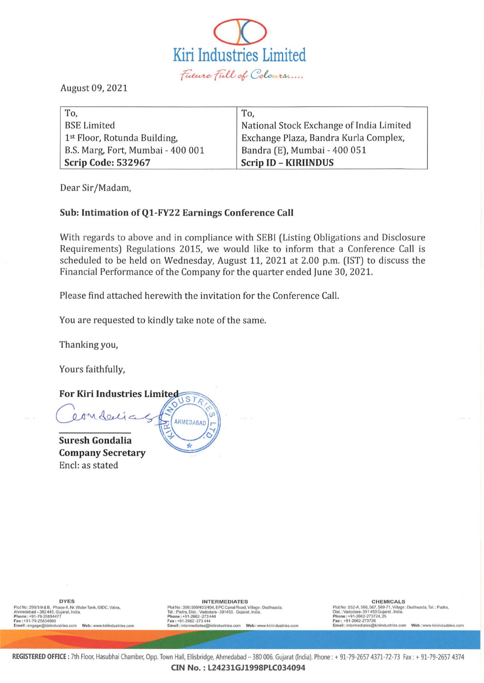

August 09, 2021

| To,                               | To.                                      |
|-----------------------------------|------------------------------------------|
| <b>BSE Limited</b>                | National Stock Exchange of India Limited |
| 1st Floor, Rotunda Building,      | Exchange Plaza, Bandra Kurla Complex,    |
| B.S. Marg, Fort, Mumbai - 400 001 | Bandra (E), Mumbai - 400 051             |
| Scrip Code: 532967                | <b>Scrip ID - KIRIINDUS</b>              |

Dear Sir/Madam,

## Sub: Intimation of Q1-FY22 Earnings Conference Call

With regards to above and in compliance with SEBI (Listing Obligations and Disclosure Requirements) Regulations 2015, we would like to inform that a Conference Call is scheduled to be held on Wednesday, August 11, 2021 at 2.00 p.m. (1ST) to discuss the Financial Performance of the Company for the quarter ended June 30, 2021.

Please find attached herewith the invitation for the Conference Call.

You are requested to kindly take note of the same.

Thanking you,

Yours faithfully,

For Kiri Industries Limited  $STR$ eonderia AHMEDABAD Suresh Gondalia

Company Secretary Encl: as stated

Plot No : 299/1/A & B, Phase-II, Nr. Water Tank, GIDC, Vatva,<br>Ahmedabad – 382 445, Gujarat, India.

CHEMICALS<br>Phot No: 299/1/A&B, Phot No: 396/399/45, NTERMEDIATES<br>Ahmedabad – 382 445, Gujarat, India. (SIDC, Vatva, Plot No: 396/399/403, EPC Canal Road, Village : Dudhwada,<br>Phone : +91-79-2582-477, September 191-79-258944 Plot No : 552-A, 566, 567, 569-71, Village : Dudhwada, Tal. : Padra,<br>Dist. : Vadodara-391 450 Gujarat, India,<br>Phone : +91-2662-273724, 25<br>Fax : +91-2662-273724, 25<br>Email : Intermediates@kiriindustries.com Web : www.kiriind

REGISTERED OFFICE : 7th Floor, Hasubhai Chamber, Opp. Town Hall, Ellisbridge, Ahmedabad - 380 006. Gujarat (India). Phone : + 91-79-2657 4371-72-73 Fax : + 91-79-2657 4374 CIN No. : L24231GJ1998PLC034094